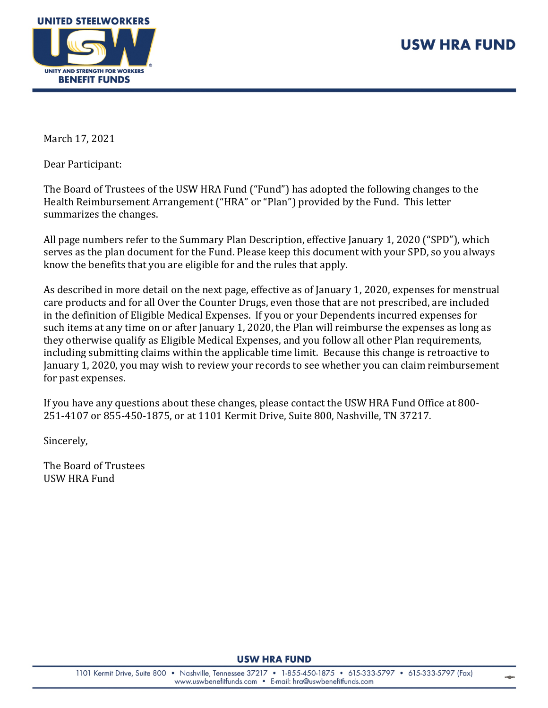



March 17, 2021

Dear Participant:

The Board of Trustees of the USW HRA Fund ("Fund") has adopted the following changes to the Health Reimbursement Arrangement ("HRA" or "Plan") provided by the Fund. This letter summarizes the changes.

All page numbers refer to the Summary Plan Description, effective January 1, 2020 ("SPD"), which serves as the plan document for the Fund. Please keep this document with your SPD, so you always know the benefits that you are eligible for and the rules that apply.

As described in more detail on the next page, effective as of January 1, 2020, expenses for menstrual care products and for all Over the Counter Drugs, even those that are not prescribed, are included in the definition of Eligible Medical Expenses. If you or your Dependents incurred expenses for such items at any time on or after January 1, 2020, the Plan will reimburse the expenses as long as they otherwise qualify as Eligible Medical Expenses, and you follow all other Plan requirements, including submitting claims within the applicable time limit. Because this change is retroactive to January 1, 2020, you may wish to review your records to see whether you can claim reimbursement for past expenses.

If you have any questions about these changes, please contact the USW HRA Fund Office at 800- 251-4107 or 855-450-1875, or at 1101 Kermit Drive, Suite 800, Nashville, TN 37217.

Sincerely,

The Board of Trustees USW HRA Fund

**USW HRA FUND**